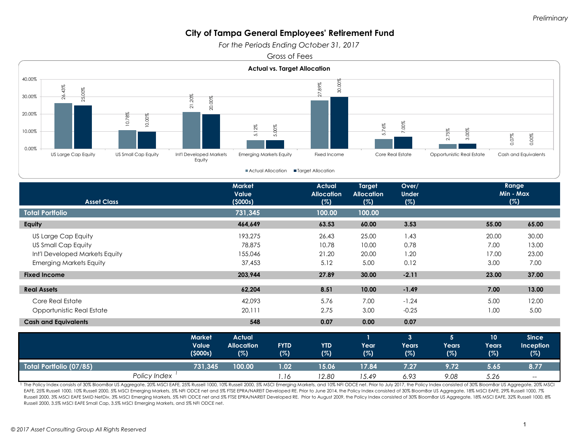*For the Periods Ending October 31, 2017* 

Gross of Fees



| <b>Asset Class</b>             |              | <b>Market</b><br>Value<br>(5000s)        |                                           |                    | <b>Actual</b><br><b>Allocation</b><br>(%) |                             | Over/<br><b>Under</b><br>(%)          |                                       | Range<br>Min - Max<br>(%) |                                    |
|--------------------------------|--------------|------------------------------------------|-------------------------------------------|--------------------|-------------------------------------------|-----------------------------|---------------------------------------|---------------------------------------|---------------------------|------------------------------------|
| <b>Total Portfolio</b>         |              |                                          | 731,345                                   |                    | 100.00                                    | 100.00                      |                                       |                                       |                           |                                    |
| Equity                         |              |                                          | 464,649                                   |                    | 63.53                                     | 60.00                       | 3.53                                  |                                       | 55.00                     | 65.00                              |
| US Large Cap Equity            |              |                                          | 193,275                                   |                    | 26.43                                     | 25.00                       | 1.43                                  |                                       | 20.00                     | 30.00                              |
| US Small Cap Equity            |              |                                          | 78,875                                    |                    | 10.78                                     | 10.00                       | 0.78                                  |                                       | 7.00                      | 13.00                              |
| Int'l Developed Markets Equity |              |                                          | 155,046                                   |                    | 21.20                                     | 20.00                       | 1.20                                  |                                       | 17.00                     | 23.00                              |
| <b>Emerging Markets Equity</b> |              |                                          | 37,453                                    |                    | 5.12                                      | 5.00                        | 0.12                                  |                                       | 3.00                      | 7.00                               |
| <b>Fixed Income</b>            |              |                                          | 203,944                                   |                    | 27.89                                     | 30.00                       | $-2.11$                               |                                       | 23.00                     | 37.00                              |
| <b>Real Assets</b>             |              |                                          | 62,204                                    |                    | 8.51                                      | 10.00                       | $-1.49$                               |                                       | 7.00                      | 13.00                              |
| Core Real Estate               |              |                                          | 42,093                                    |                    | 5.76                                      | 7.00                        | $-1.24$                               |                                       | 5.00                      | 12.00                              |
| Opportunistic Real Estate      |              |                                          | 20,111                                    |                    | 2.75                                      | 3.00                        | $-0.25$                               |                                       | 1.00                      | 5.00                               |
| <b>Cash and Equivalents</b>    |              |                                          | 548                                       |                    | 0.07                                      | 0.00                        | 0.07                                  |                                       |                           |                                    |
|                                |              | <b>Market</b><br><b>Value</b><br>(5000s) | <b>Actual</b><br><b>Allocation</b><br>(%) | <b>FYTD</b><br>(%) | <b>YTD</b><br>(%)                         | $\mathbf{1}$<br>Year<br>(%) | 3 <sup>2</sup><br><b>Years</b><br>(%) | 5 <sup>5</sup><br><b>Years</b><br>(%) | 10<br><b>Years</b><br>(%) | <b>Since</b><br>Inception<br>(%)   |
| <b>Total Portfolio (07/85)</b> |              | 731,345                                  | 100.00                                    | 1.02               | 15.06                                     | 17.84                       | 7.27                                  | 9.72                                  | 5.65                      | 8.77                               |
|                                | Policy Index |                                          |                                           | 1.16               | 12.80                                     | 15.49                       | 6.93                                  | 9.08                                  | 5.26                      | $\hspace{0.05cm}--\hspace{0.05cm}$ |

1 The Policy Index consists of 30% BloomBar US Aggregate, 20% MSCI EAFE, 25% Russell 1000, 10% Russell 2000, 5% MSCI Emerging Markets, and 10% NFI ODCE net. Prior to July 2017, the Policy Index consisted of 30% BloomBar US EAFE, 25% Russell 1000, 10% Russell 2000, 5% MSCI Emerging Markets, 5% NFI ODCE net and 5% FTSE EPRA/NAREIT Developed RE. Prior to June 2014, the Policy Index consisted of 30% BloomBar US Aggregate, 18% MSCI EAFE, 29% Russ Russell 2000, 3% MSCI EAFE SMID NetDiv, 3% MSCI Emerging Markets, 5% NFI ODCE net and 5% FTSE EPRA/NAREIT Developed RE. Prior to August 2009, the Policy Index consisted of 30% BloomBar US Aggregate, 18% MSCI EAFE, 32% Russ Russell 2000, 3.5% MSCI EAFE Small Cap, 3.5% MSCI Emerging Markets, and 5% NFI ODCE net.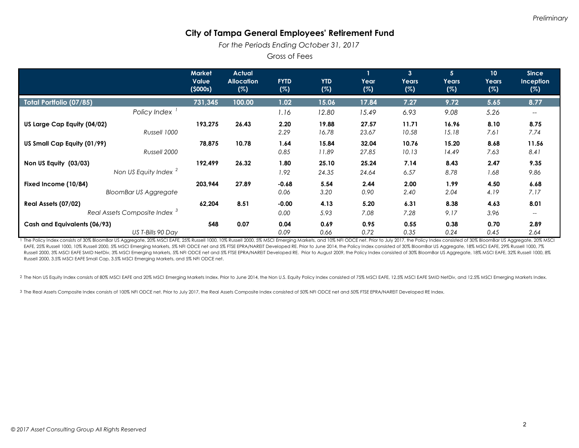*For the Periods Ending October 31, 2017* 

Gross of Fees

|                                                                 | <b>Market</b><br>Value<br>(5000s) | <b>Actual</b><br><b>Allocation</b><br>(%) | <b>FYTD</b><br>(%) | <b>YTD</b><br>(%) | Year<br>(%)    | 3 <sup>2</sup><br><b>Years</b><br>(%) | 5 <sup>5</sup><br><b>Years</b><br>(%) | 10<br>Years<br>(%) | <b>Since</b><br><b>Inception</b><br>(%) |
|-----------------------------------------------------------------|-----------------------------------|-------------------------------------------|--------------------|-------------------|----------------|---------------------------------------|---------------------------------------|--------------------|-----------------------------------------|
| Total Portfolio (07/85)                                         | 731,345                           | 100.00                                    | 1.02               | 15.06             | 17.84          | 7.27                                  | 9.72                                  | 5.65               | 8.77                                    |
| Policy Index                                                    |                                   |                                           | 1.16               | 12.80             | 15.49          | 6.93                                  | 9.08                                  | 5.26               | --                                      |
| US Large Cap Equity (04/02)<br>Russell 1000                     | 193,275                           | 26.43                                     | 2.20<br>2.29       | 19.88<br>16.78    | 27.57<br>23.67 | 11.71<br>10.58                        | 16.96<br>15.18                        | 8.10<br>7.61       | 8.75<br>7.74                            |
| US Small Cap Equity (01/99)<br>Russell 2000                     | 78,875                            | 10.78                                     | 1.64<br>0.85       | 15.84<br>11.89    | 32.04<br>27.85 | 10.76<br>10.13                        | 15.20<br>14.49                        | 8.68<br>7.63       | 11.56<br>8.41                           |
| Non US Equity (03/03)<br>Non US Equity Index <sup>2</sup>       | 192,499                           | 26.32                                     | 1.80<br>1.92       | 25.10<br>24.35    | 25.24<br>24.64 | 7.14<br>6.57                          | 8.43<br>8.78                          | 2.47<br>1.68       | 9.35<br>9.86                            |
| Fixed Income (10/84)<br><b>BloomBar US Aggregate</b>            | 203,944                           | 27.89                                     | $-0.68$<br>0.06    | 5.54<br>3.20      | 2.44<br>0.90   | 2.00<br>2.40                          | 1.99<br>2.04                          | 4.50<br>4.19       | 6.68<br>7.17                            |
| Real Assets (07/02)<br>Real Assets Composite Index <sup>3</sup> | 62,204                            | 8.51                                      | $-0.00$<br>0.00    | 4.13<br>5.93      | 5.20<br>7.08   | 6.31<br>7.28                          | 8.38<br>9.17                          | 4.63<br>3.96       | 8.01<br>$\qquad \qquad -$               |
| Cash and Equivalents (06/93)<br>US T-Bills 90 Day               | 548                               | 0.07                                      | 0.04<br>0.09       | 0.69<br>0.66      | 0.95<br>0.72   | 0.55<br>0.35                          | 0.38<br>0.24                          | 0.70<br>0.45       | 2.89<br>2.64                            |

1 The Policy Index consists of 30% BloomBar US Aggregate, 20% MSCI EAFE, 25% Russell 1000, 10% Russell 2000, 5% MSCI Emerging Markets, and 10% NFI ODCE net. Prior to July 2017, the Policy Index consisted of 30% BloomBar US EAFE, 25% Russell 1000, 10% Russell 2000, 5% MSCI Emerging Markets, 5% NFI ODCE net and 5% FTSE EPRA/NAREIT Developed RE. Prior to June 2014, the Policy Index consisted of 30% BloomBar US Aggregate, 18% MSCI EAFE, 29% Russ Russell 2000, 3% MSCI EAFE SMID NetDiv, 3% MSCI Emerging Markets, 5% NFI ODCE net and 5% FTSE EPRA/NAREIT Developed RE. Prior to August 2009, the Policy Index consisted of 30% BloomBar US Aggregate, 18% MSCI EAFE, 32% Russ Russell 2000, 3.5% MSCI EAFE Small Cap, 3.5% MSCI Emerging Markets, and 5% NFI ODCE net.

2 The Non US Equity Index consists of 80% MSCI EAFE and 20% MSCI Emerging Markets Index. Prior to June 2014, the Non U.S. Equity Policy Index consisted of 75% MSCI EAFE, 12.5% MSCI EAFE SMID NetDiv, and 12.5% MSCI Emerging

3 The Real Assets Composite Index consists of 100% NFI ODCE net. Prior to July 2017, the Real Assets Composite Index consisted of 50% NFI ODCE net and 50% FTSE EPRA/NAREIT Developed RE Index.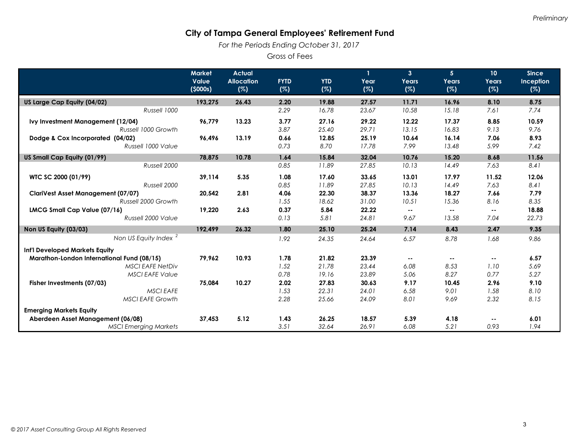*For the Periods Ending October 31, 2017* 

Gross of Fees

|                                            | <b>Market</b><br>Value | <b>Actual</b><br><b>Allocation</b> | <b>FYTD</b> | <b>YTD</b> | $\mathbf{1}$<br>Year | $\mathbf{3}$<br>Years    | 5 <sup>5</sup><br>Years | 10<br>Years                | <b>Since</b><br>Inception |
|--------------------------------------------|------------------------|------------------------------------|-------------|------------|----------------------|--------------------------|-------------------------|----------------------------|---------------------------|
|                                            | (5000s)                | (%)                                | (%)         | (%)        | (%)                  | (%)                      | (%)                     | (%)                        | (%)                       |
| US Large Cap Equity (04/02)                | 193,275                | 26.43                              | 2.20        | 19.88      | 27.57                | 11.71                    | 16.96                   | 8.10                       | 8.75                      |
| Russell 1000                               |                        |                                    | 2.29        | 16.78      | 23.67                | 10.58                    | 15.18                   | 7.61                       | 7.74                      |
| Ivy Investment Management (12/04)          | 96,779                 | 13.23                              | 3.77        | 27.16      | 29.22                | 12.22                    | 17.37                   | 8.85                       | 10.59                     |
| Russell 1000 Growth                        |                        |                                    | 3.87        | 25.40      | 29.71                | 13.15                    | 16.83                   | 9.13                       | 9.76                      |
| Dodge & Cox Incorporated (04/02)           | 96,496                 | 13.19                              | 0.66        | 12.85      | 25.19                | 10.64                    | 16.14                   | 7.06                       | 8.93                      |
| Russell 1000 Value                         |                        |                                    | 0.73        | 8.70       | 17.78                | 7.99                     | 13.48                   | 5.99                       | 7.42                      |
| US Small Cap Equity (01/99)                | 78,875                 | 10.78                              | 1.64        | 15.84      | 32.04                | 10.76                    | 15.20                   | 8.68                       | 11.56                     |
| Russell 2000                               |                        |                                    | 0.85        | 11.89      | 27.85                | 10.13                    | 14.49                   | 7.63                       | 8.41                      |
| WTC SC 2000 (01/99)                        | 39,114                 | 5.35                               | 1.08        | 17.60      | 33.65                | 13.01                    | 17.97                   | 11.52                      | 12.06                     |
| Russell 2000                               |                        |                                    | 0.85        | 11.89      | 27.85                | 10.13                    | 14.49                   | 7.63                       | 8.41                      |
| <b>ClariVest Asset Management (07/07)</b>  | 20,542                 | 2.81                               | 4.06        | 22.30      | 38.37                | 13.36                    | 18.27                   | 7.66                       | 7.79                      |
| Russell 2000 Growth                        |                        |                                    | 1.55        | 18.62      | 31.00                | 10.51                    | 15.36                   | 8.16                       | 8.35                      |
| LMCG Small Cap Value (07/16)               | 19,220                 | 2.63                               | 0.37        | 5.84       | 22.22                | $\sim$ $\sim$            | $\sim$ $\sim$           | $\overline{\phantom{a}}$ . | 18.88                     |
| Russell 2000 Value                         |                        |                                    | 0.13        | 5.81       | 24.81                | 9.67                     | 13.58                   | 7.04                       | 22.73                     |
| Non US Equity (03/03)                      | 192,499                | 26.32                              | 1.80        | 25.10      | 25.24                | 7.14                     | 8.43                    | 2.47                       | 9.35                      |
| Non US Equity Index <sup>2</sup>           |                        |                                    | 1.92        | 24.35      | 24.64                | 6.57                     | 8.78                    | 1.68                       | 9.86                      |
| Int'l Developed Markets Equity             |                        |                                    |             |            |                      |                          |                         |                            |                           |
| Marathon-London International Fund (08/15) | 79,962                 | 10.93                              | 1.78        | 21.82      | 23.39                | $\overline{\phantom{a}}$ | $- -$                   | $\sim$ $\sim$              | 6.57                      |
| <b>MSCI EAFE NetDiv</b>                    |                        |                                    | 1.52        | 21.78      | 23.44                | 6.08                     | 8.53                    | 1.10                       | 5.69                      |
| <b>MSCI EAFE Value</b>                     |                        |                                    | 0.78        | 19.16      | 23.89                | 5.06                     | 8.27                    | 0.77                       | 5.27                      |
| Fisher Investments (07/03)                 | 75,084                 | 10.27                              | 2.02        | 27.83      | 30.63                | 9.17                     | 10.45                   | 2.96                       | 9.10                      |
| <b>MSCI EAFE</b>                           |                        |                                    | 1.53        | 22.31      | 24.01                | 6.58                     | 9.01                    | 1.58                       | 8.10                      |
| <b>MSCI EAFE Growth</b>                    |                        |                                    | 2.28        | 25.66      | 24.09                | 8.01                     | 9.69                    | 2.32                       | 8.15                      |
| <b>Emerging Markets Equity</b>             |                        |                                    |             |            |                      |                          |                         |                            |                           |
| Aberdeen Asset Management (06/08)          | 37.453                 | 5.12                               | 1.43        | 26.25      | 18.57                | 5.39                     | 4.18                    | $\overline{\phantom{a}}$   | 6.01                      |
| <b>MSCI Emerging Markets</b>               |                        |                                    | 3.51        | 32.64      | 26.91                | 6.08                     | 5.21                    | 0.93                       | 1.94                      |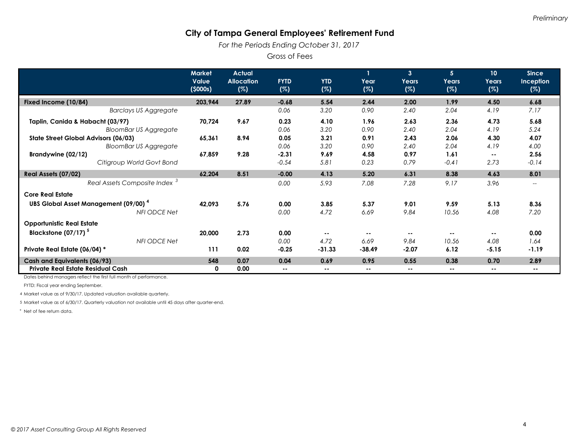*For the Periods Ending October 31, 2017* 

Gross of Fees

|                                                        | <b>Market</b><br>Value<br>(5000s) | <b>Actual</b><br><b>Allocation</b><br>(%) | <b>FYTD</b><br>(%) | <b>YTD</b><br>(%) | $\mathbf{1}$<br>Year<br>(%) | $\overline{3}$<br>Years<br>(%) | 5 <sup>5</sup><br>Years<br>(%) | 10<br>Years<br>(%) | <b>Since</b><br>Inception<br>(%) |
|--------------------------------------------------------|-----------------------------------|-------------------------------------------|--------------------|-------------------|-----------------------------|--------------------------------|--------------------------------|--------------------|----------------------------------|
| Fixed Income (10/84)                                   | 203,944                           | 27.89                                     | $-0.68$            | 5.54              | 2.44                        | 2.00                           | 1.99                           | 4.50               | 6.68                             |
| <b>Barclays US Aggregate</b>                           |                                   |                                           | 0.06               | 3.20              | 0.90                        | 2.40                           | 2.04                           | 4.19               | 7.17                             |
| Taplin, Canida & Habacht (03/97)                       | 70,724                            | 9.67                                      | 0.23               | 4.10              | 1.96                        | 2.63                           | 2.36                           | 4.73               | 5.68                             |
| <b>BloomBar US Aggregate</b>                           |                                   |                                           | 0.06               | 3.20              | 0.90                        | 2.40                           | 2.04                           | 4.19               | 5.24                             |
| State Street Global Advisors (06/03)                   | 65,361                            | 8.94                                      | 0.05               | 3.21              | 0.91                        | 2.43                           | 2.06                           | 4.30               | 4.07                             |
| <b>BloomBar US Aggregate</b>                           |                                   |                                           | 0.06               | 3.20              | 0.90                        | 2.40                           | 2.04                           | 4.19               | 4.00                             |
| Brandywine (02/12)                                     | 67,859                            | 9.28                                      | $-2.31$            | 9.69              | 4.58                        | 0.97                           | 1.61                           | $- -$              | 2.56                             |
| Citigroup World Govt Bond                              |                                   |                                           | $-0.54$            | 5.81              | 0.23                        | 0.79                           | $-0.41$                        | 2.73               | $-0.14$                          |
| Real Assets (07/02)                                    | 62,204                            | 8.51                                      | $-0.00$            | 4.13              | 5.20                        | 6.31                           | 8.38                           | 4.63               | 8.01                             |
| Real Assets Composite Index <sup>3</sup>               |                                   |                                           | 0.00               | 5.93              | 7.08                        | 7.28                           | 9.17                           | 3.96               | $--$                             |
| <b>Core Real Estate</b>                                |                                   |                                           |                    |                   |                             |                                |                                |                    |                                  |
| <b>UBS Global Asset Management (09/00)<sup>4</sup></b> | 42,093                            | 5.76                                      | 0.00               | 3.85              | 5.37                        | 9.01                           | 9.59                           | 5.13               | 8.36                             |
| <b>NFI ODCE Net</b>                                    |                                   |                                           | 0.00               | 4.72              | 6.69                        | 9.84                           | 10.56                          | 4.08               | 7.20                             |
| <b>Opportunistic Real Estate</b>                       |                                   |                                           |                    |                   |                             |                                |                                |                    |                                  |
| Blackstone $(07/17)^5$                                 | 20,000                            | 2.73                                      | 0.00               |                   |                             |                                |                                | $- -$              | 0.00                             |
| <b>NFI ODCE Net</b>                                    |                                   |                                           | 0.00               | 4.72              | 6.69                        | 9.84                           | 10.56                          | 4.08               | 1.64                             |
| Private Real Estate (06/04) *                          | 111                               | 0.02                                      | $-0.25$            | $-31.33$          | $-38.49$                    | $-2.07$                        | 6.12                           | $-5.15$            | $-1.19$                          |
| Cash and Equivalents (06/93)                           | 548                               | 0.07                                      | 0.04               | 0.69              | 0.95                        | 0.55                           | 0.38                           | 0.70               | 2.89                             |
| Private Real Estate Residual Cash                      | 0                                 | 0.00                                      | $\sim$ $\sim$      | $- -$             | $- -$                       | $- -$                          | --                             | $\sim$             | $\sim$ $-$                       |

Dates behind managers reflect the first full month of performance.

FYTD: Fiscal year ending September.

4 Market value as of 9/30/17. Updated valuation available quarterly.

5 Market value as of 6/30/17. Quarterly valuation not available until 45 days after quarter-end.

\* Net of fee return data.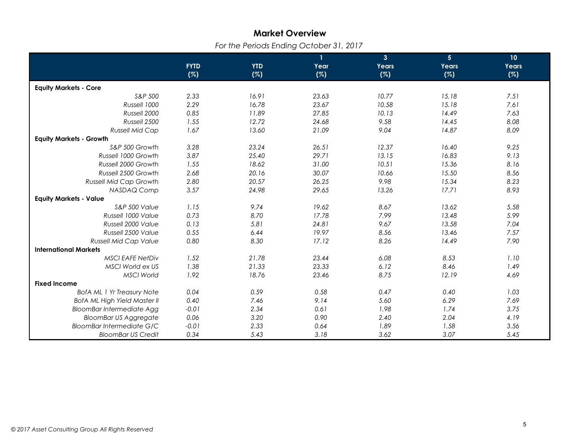# **Market Overview**

*For the Periods Ending October 31, 2017* 

|                                     |             |            | $\mathbf{1}$ | $\mathbf{3}$ | 5 <sub>5</sub> | 10    |
|-------------------------------------|-------------|------------|--------------|--------------|----------------|-------|
|                                     | <b>FYTD</b> | <b>YTD</b> | Year         | Years        | Years          | Years |
|                                     | (%)         | (%)        | (%)          | (%)          | (%)            | (%)   |
| <b>Equity Markets - Core</b>        |             |            |              |              |                |       |
| S&P 500                             | 2.33        | 16.91      | 23.63        | 10.77        | 15.18          | 7.51  |
| Russell 1000                        | 2.29        | 16.78      | 23.67        | 10.58        | 15.18          | 7.61  |
| Russell 2000                        | 0.85        | 11.89      | 27.85        | 10.13        | 14.49          | 7.63  |
| Russell 2500                        | 1.55        | 12.72      | 24.68        | 9.58         | 14.45          | 8.08  |
| <b>Russell Mid Cap</b>              | 1.67        | 13.60      | 21.09        | 9.04         | 14.87          | 8.09  |
| <b>Equity Markets - Growth</b>      |             |            |              |              |                |       |
| S&P 500 Growth                      | 3.28        | 23.24      | 26.51        | 12.37        | 16.40          | 9.25  |
| Russell 1000 Growth                 | 3.87        | 25.40      | 29.71        | 13.15        | 16.83          | 9.13  |
| Russell 2000 Growth                 | 1.55        | 18.62      | 31.00        | 10.51        | 15.36          | 8.16  |
| Russell 2500 Growth                 | 2.68        | 20.16      | 30.07        | 10.66        | 15.50          | 8.56  |
| <b>Russell Mid Cap Growth</b>       | 2.80        | 20.57      | 26.25        | 9.98         | 15.34          | 8.23  |
| NASDAQ Comp                         | 3.57        | 24.98      | 29.65        | 13.26        | 17.71          | 8.93  |
| <b>Equity Markets - Value</b>       |             |            |              |              |                |       |
| S&P 500 Value                       | 1.15        | 9.74       | 19.62        | 8.67         | 13.62          | 5.58  |
| Russell 1000 Value                  | 0.73        | 8.70       | 17.78        | 7.99         | 13.48          | 5.99  |
| Russell 2000 Value                  | 0.13        | 5.81       | 24.81        | 9.67         | 13.58          | 7.04  |
| Russell 2500 Value                  | 0.55        | 6.44       | 19.97        | 8.56         | 13.46          | 7.57  |
| <b>Russell Mid Cap Value</b>        | 0.80        | 8.30       | 17.12        | 8.26         | 14.49          | 7.90  |
| <b>International Markets</b>        |             |            |              |              |                |       |
| <b>MSCI EAFE NetDiv</b>             | 1.52        | 21.78      | 23.44        | 6.08         | 8.53           | 1.10  |
| MSCI World ex US                    | 1.38        | 21.33      | 23.33        | 6.12         | 8.46           | 1.49  |
| <b>MSCI World</b>                   | 1.92        | 18.76      | 23.46        | 8.75         | 12.19          | 4.69  |
| <b>Fixed Income</b>                 |             |            |              |              |                |       |
| <b>BofA ML 1 Yr Treasury Note</b>   | 0.04        | 0.59       | 0.58         | 0.47         | 0.40           | 1.03  |
| <b>BofA ML High Yield Master II</b> | 0.40        | 7.46       | 9.14         | 5.60         | 6.29           | 7.69  |
| <b>BloomBar Intermediate Agg</b>    | $-0.01$     | 2.34       | 0.61         | 1.98         | 1.74           | 3.75  |
| <b>BloomBar US Aggregate</b>        | 0.06        | 3.20       | 0.90         | 2.40         | 2.04           | 4.19  |
| <b>BloomBar Intermediate G/C</b>    | $-0.01$     | 2.33       | 0.64         | 1.89         | 1.58           | 3.56  |
| <b>BloomBar US Credit</b>           | 0.34        | 5.43       | 3.18         | 3.62         | 3.07           | 5.45  |